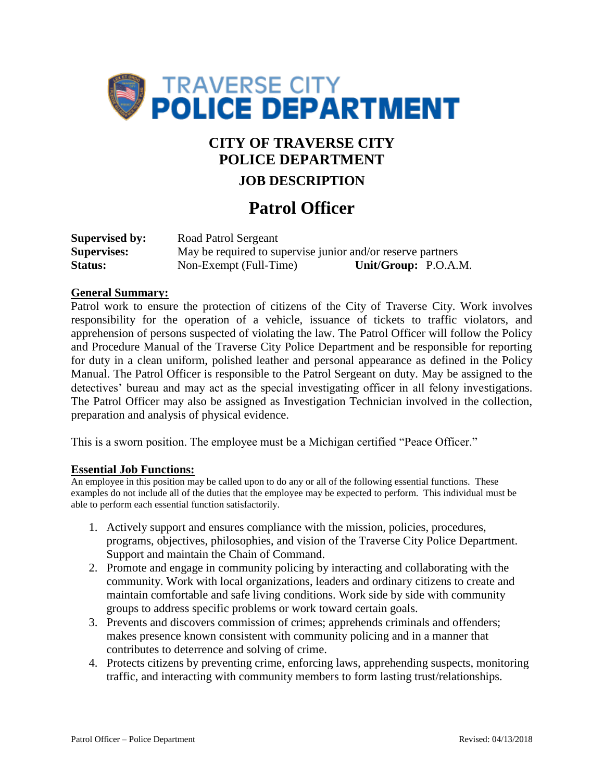

# **CITY OF TRAVERSE CITY POLICE DEPARTMENT**

### **JOB DESCRIPTION**

## **Patrol Officer**

| <b>Supervised by:</b> | Road Patrol Sergeant                                        |                      |  |
|-----------------------|-------------------------------------------------------------|----------------------|--|
| <b>Supervises:</b>    | May be required to supervise junior and/or reserve partners |                      |  |
| Status:               | Non-Exempt (Full-Time)                                      | Unit/Group: P.O.A.M. |  |

#### **General Summary:**

Patrol work to ensure the protection of citizens of the City of Traverse City. Work involves responsibility for the operation of a vehicle, issuance of tickets to traffic violators, and apprehension of persons suspected of violating the law. The Patrol Officer will follow the Policy and Procedure Manual of the Traverse City Police Department and be responsible for reporting for duty in a clean uniform, polished leather and personal appearance as defined in the Policy Manual. The Patrol Officer is responsible to the Patrol Sergeant on duty. May be assigned to the detectives' bureau and may act as the special investigating officer in all felony investigations. The Patrol Officer may also be assigned as Investigation Technician involved in the collection, preparation and analysis of physical evidence.

This is a sworn position. The employee must be a Michigan certified "Peace Officer."

#### **Essential Job Functions:**

An employee in this position may be called upon to do any or all of the following essential functions. These examples do not include all of the duties that the employee may be expected to perform. This individual must be able to perform each essential function satisfactorily.

- 1. Actively support and ensures compliance with the mission, policies, procedures, programs, objectives, philosophies, and vision of the Traverse City Police Department. Support and maintain the Chain of Command.
- 2. Promote and engage in community policing by interacting and collaborating with the community. Work with local organizations, leaders and ordinary citizens to create and maintain comfortable and safe living conditions. Work side by side with community groups to address specific problems or work toward certain goals.
- 3. Prevents and discovers commission of crimes; apprehends criminals and offenders; makes presence known consistent with community policing and in a manner that contributes to deterrence and solving of crime.
- 4. Protects citizens by preventing crime, enforcing laws, apprehending suspects, monitoring traffic, and interacting with community members to form lasting trust/relationships.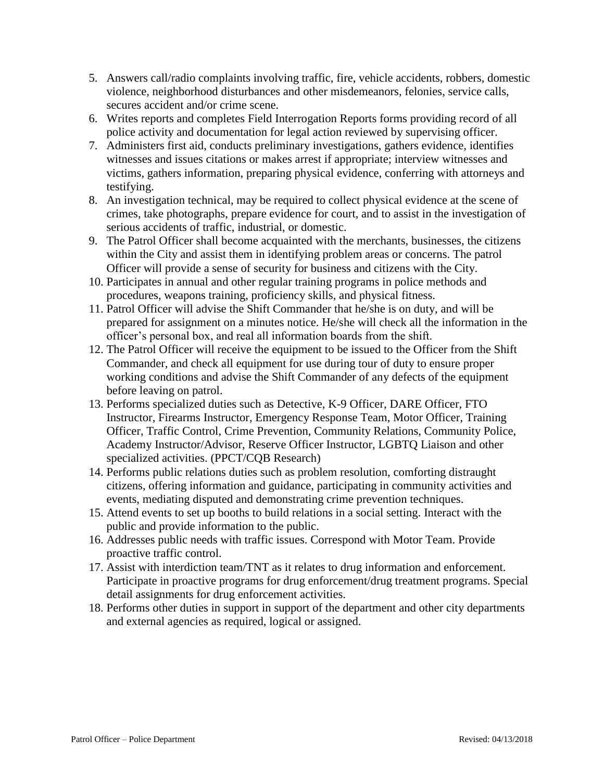- 5. Answers call/radio complaints involving traffic, fire, vehicle accidents, robbers, domestic violence, neighborhood disturbances and other misdemeanors, felonies, service calls, secures accident and/or crime scene.
- 6. Writes reports and completes Field Interrogation Reports forms providing record of all police activity and documentation for legal action reviewed by supervising officer.
- 7. Administers first aid, conducts preliminary investigations, gathers evidence, identifies witnesses and issues citations or makes arrest if appropriate; interview witnesses and victims, gathers information, preparing physical evidence, conferring with attorneys and testifying.
- 8. An investigation technical, may be required to collect physical evidence at the scene of crimes, take photographs, prepare evidence for court, and to assist in the investigation of serious accidents of traffic, industrial, or domestic.
- 9. The Patrol Officer shall become acquainted with the merchants, businesses, the citizens within the City and assist them in identifying problem areas or concerns. The patrol Officer will provide a sense of security for business and citizens with the City.
- 10. Participates in annual and other regular training programs in police methods and procedures, weapons training, proficiency skills, and physical fitness.
- 11. Patrol Officer will advise the Shift Commander that he/she is on duty, and will be prepared for assignment on a minutes notice. He/she will check all the information in the officer's personal box, and real all information boards from the shift.
- 12. The Patrol Officer will receive the equipment to be issued to the Officer from the Shift Commander, and check all equipment for use during tour of duty to ensure proper working conditions and advise the Shift Commander of any defects of the equipment before leaving on patrol.
- 13. Performs specialized duties such as Detective, K-9 Officer, DARE Officer, FTO Instructor, Firearms Instructor, Emergency Response Team, Motor Officer, Training Officer, Traffic Control, Crime Prevention, Community Relations, Community Police, Academy Instructor/Advisor, Reserve Officer Instructor, LGBTQ Liaison and other specialized activities. (PPCT/CQB Research)
- 14. Performs public relations duties such as problem resolution, comforting distraught citizens, offering information and guidance, participating in community activities and events, mediating disputed and demonstrating crime prevention techniques.
- 15. Attend events to set up booths to build relations in a social setting. Interact with the public and provide information to the public.
- 16. Addresses public needs with traffic issues. Correspond with Motor Team. Provide proactive traffic control.
- 17. Assist with interdiction team/TNT as it relates to drug information and enforcement. Participate in proactive programs for drug enforcement/drug treatment programs. Special detail assignments for drug enforcement activities.
- 18. Performs other duties in support in support of the department and other city departments and external agencies as required, logical or assigned.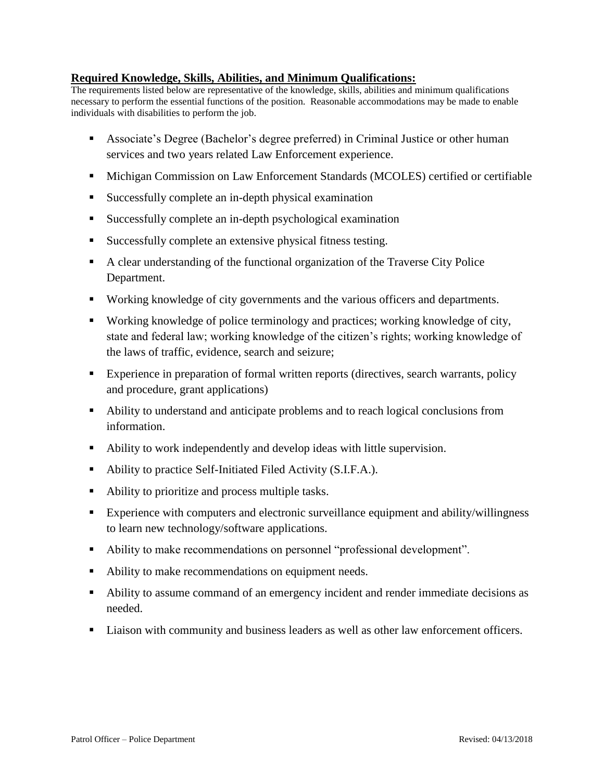### **Required Knowledge, Skills, Abilities, and Minimum Qualifications:**

The requirements listed below are representative of the knowledge, skills, abilities and minimum qualifications necessary to perform the essential functions of the position. Reasonable accommodations may be made to enable individuals with disabilities to perform the job.

- Associate's Degree (Bachelor's degree preferred) in Criminal Justice or other human services and two years related Law Enforcement experience.
- Michigan Commission on Law Enforcement Standards (MCOLES) certified or certifiable
- Successfully complete an in-depth physical examination
- Successfully complete an in-depth psychological examination
- Successfully complete an extensive physical fitness testing.
- A clear understanding of the functional organization of the Traverse City Police Department.
- Working knowledge of city governments and the various officers and departments.
- Working knowledge of police terminology and practices; working knowledge of city, state and federal law; working knowledge of the citizen's rights; working knowledge of the laws of traffic, evidence, search and seizure;
- Experience in preparation of formal written reports (directives, search warrants, policy and procedure, grant applications)
- Ability to understand and anticipate problems and to reach logical conclusions from information.
- Ability to work independently and develop ideas with little supervision.
- Ability to practice Self-Initiated Filed Activity (S.I.F.A.).
- Ability to prioritize and process multiple tasks.
- **Experience with computers and electronic surveillance equipment and ability/willingness** to learn new technology/software applications.
- Ability to make recommendations on personnel "professional development".
- Ability to make recommendations on equipment needs.
- Ability to assume command of an emergency incident and render immediate decisions as needed.
- Liaison with community and business leaders as well as other law enforcement officers.